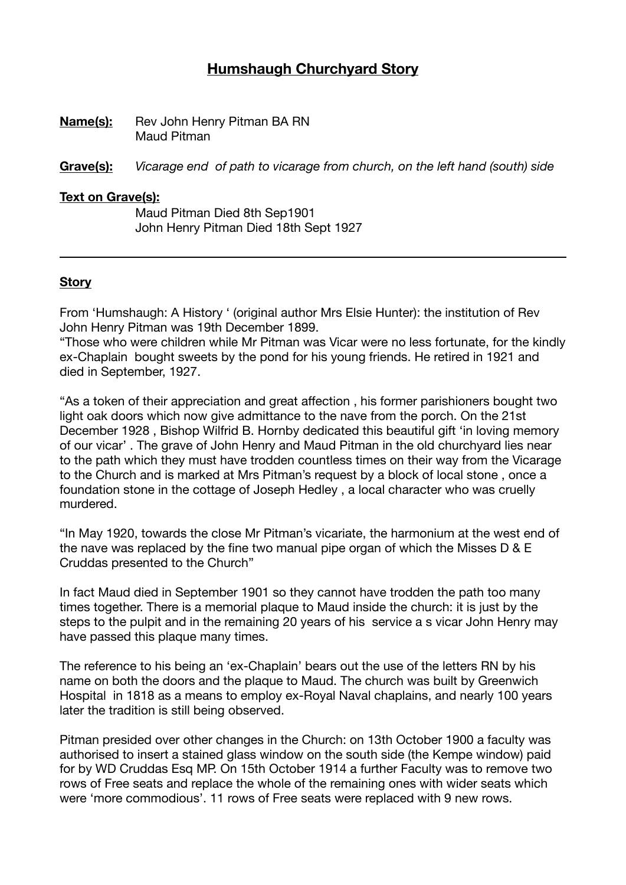# **Humshaugh Churchyard Story**

**Name(s):** Rev John Henry Pitman BA RN Maud Pitman

**Grave(s):** *Vicarage end of path to vicarage from church, on the left hand (south) side* 

#### **Text on Grave(s):**

Maud Pitman Died 8th Sep1901 John Henry Pitman Died 18th Sept 1927

#### **Story**

From 'Humshaugh: A History ' (original author Mrs Elsie Hunter): the institution of Rev John Henry Pitman was 19th December 1899.

"Those who were children while Mr Pitman was Vicar were no less fortunate, for the kindly ex-Chaplain bought sweets by the pond for his young friends. He retired in 1921 and died in September, 1927.

"As a token of their appreciation and great affection , his former parishioners bought two light oak doors which now give admittance to the nave from the porch. On the 21st December 1928 , Bishop Wilfrid B. Hornby dedicated this beautiful gift 'in loving memory of our vicar' . The grave of John Henry and Maud Pitman in the old churchyard lies near to the path which they must have trodden countless times on their way from the Vicarage to the Church and is marked at Mrs Pitman's request by a block of local stone , once a foundation stone in the cottage of Joseph Hedley , a local character who was cruelly murdered.

"In May 1920, towards the close Mr Pitman's vicariate, the harmonium at the west end of the nave was replaced by the fine two manual pipe organ of which the Misses D & E Cruddas presented to the Church"

In fact Maud died in September 1901 so they cannot have trodden the path too many times together. There is a memorial plaque to Maud inside the church: it is just by the steps to the pulpit and in the remaining 20 years of his service a s vicar John Henry may have passed this plaque many times.

The reference to his being an 'ex-Chaplain' bears out the use of the letters RN by his name on both the doors and the plaque to Maud. The church was built by Greenwich Hospital in 1818 as a means to employ ex-Royal Naval chaplains, and nearly 100 years later the tradition is still being observed.

Pitman presided over other changes in the Church: on 13th October 1900 a faculty was authorised to insert a stained glass window on the south side (the Kempe window) paid for by WD Cruddas Esq MP. On 15th October 1914 a further Faculty was to remove two rows of Free seats and replace the whole of the remaining ones with wider seats which were 'more commodious'. 11 rows of Free seats were replaced with 9 new rows.